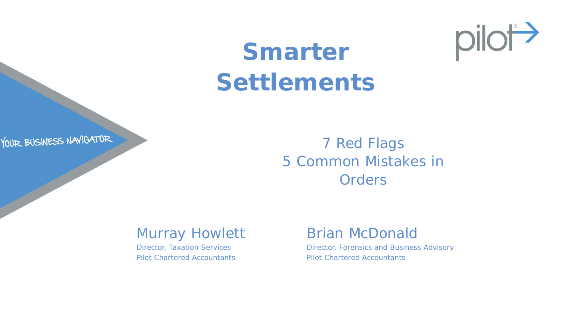

# **Smarter Settlements**



Murray Howlett

Director, Taxation Services Pilot Chartered Accountants

#### Brian McDonald

Director, Forensics and Business Advisory Pilot Chartered Accountants

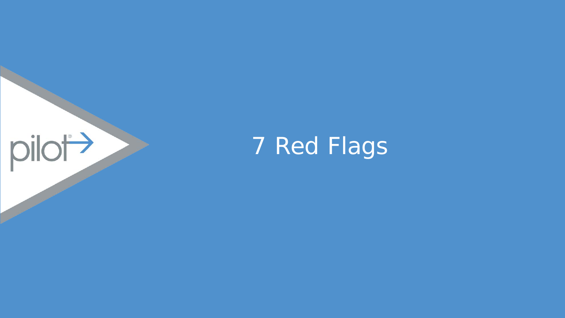

# 7 Red Flags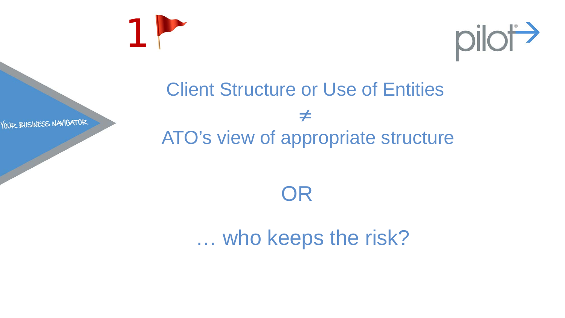



## Client Structure or Use of Entities ≠ ATO's view of appropriate structure

OR

… who keeps the risk?

YOUR BUSINESS NAVIGATOR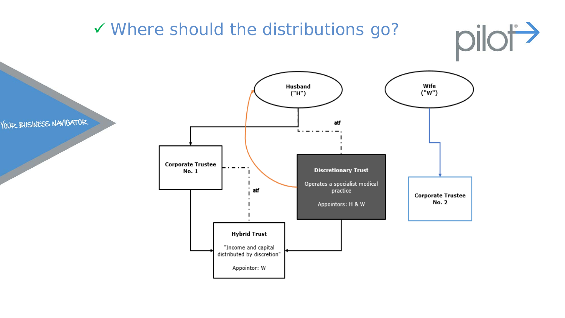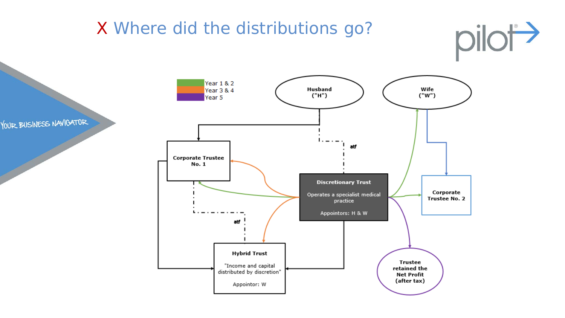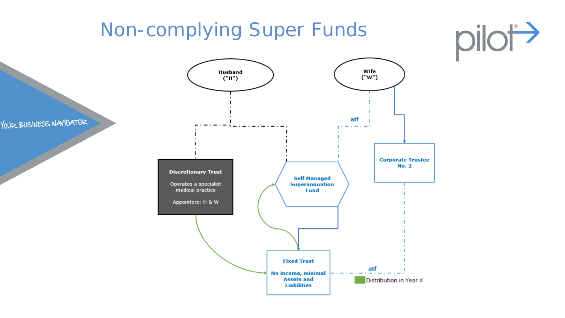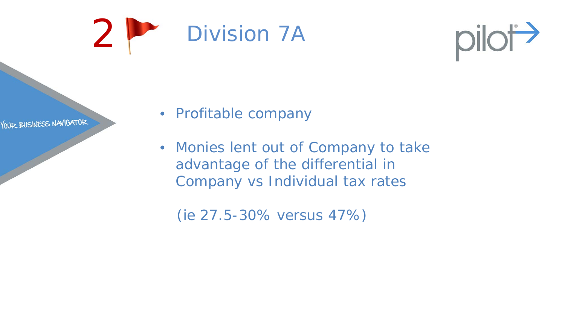



YOUR BUSINESS NAVIGATOR

- Profitable company
- Monies lent out of Company to take advantage of the differential in Company vs Individual tax rates

(ie 27.5-30% versus 47%)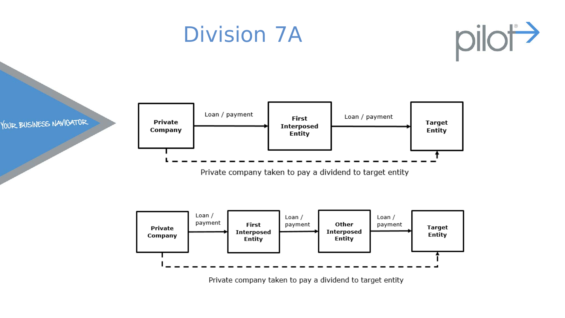## Division 7A







Private company taken to pay a dividend to target entity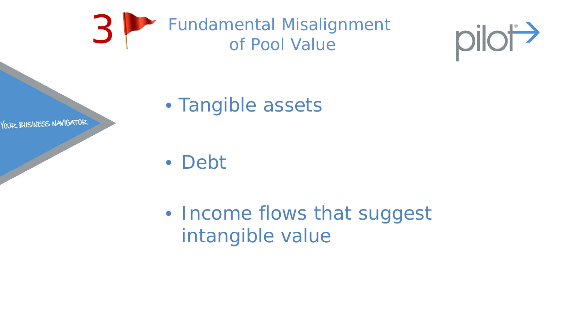



• Tangible assets

YOUR BUSINESS NAVIGATOR

• Debt

• Income flows that suggest intangible value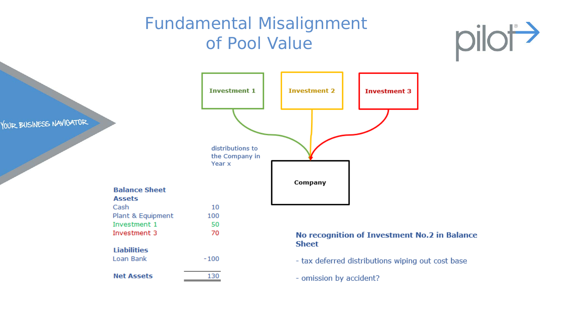#### Fundamental Misalignment of Pool Value





- omission by accident?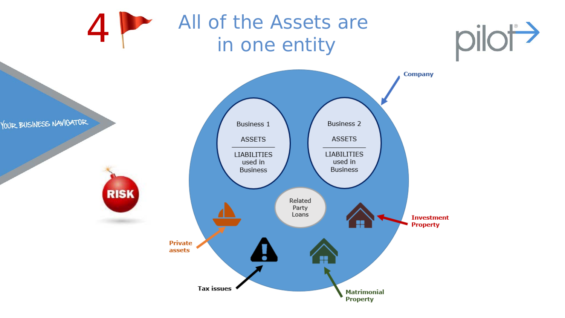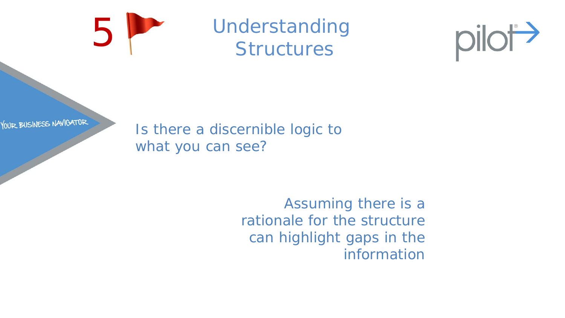

# Understanding<br>Structures



YOUR BUSINESS NAVIGATOR

Is there a discernible logic to what you can see?

> Assuming there is a rationale for the structure can highlight gaps in the information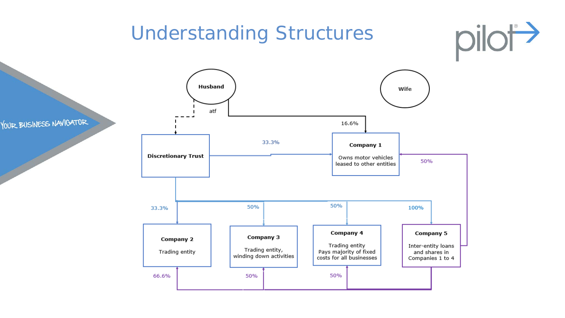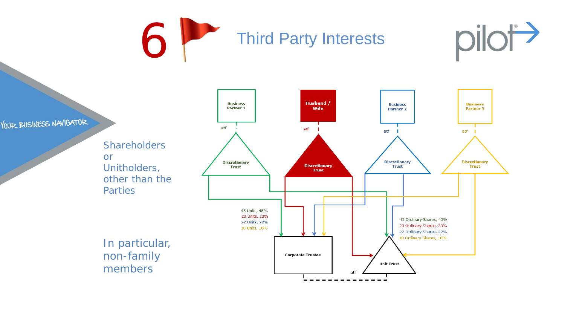Third Party Interests



YOUR BUSINESS NAVIGATOR

**Shareholders** or Unitholders, other than the **Parties** 



In particular, non-family members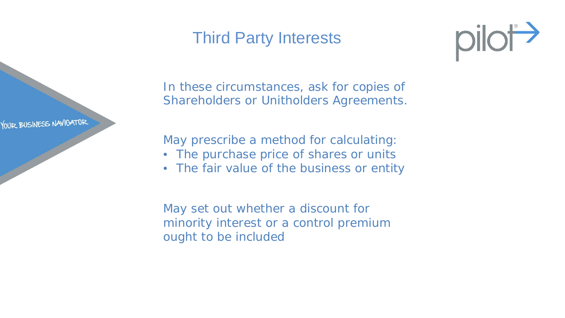#### Third Party Interests

YOUR BUSINESS NAVIGATOR



In these circumstances, ask for copies of Shareholders or Unitholders Agreements.

May prescribe a method for calculating:

- The purchase price of shares or units
- The fair value of the business or entity

May set out whether a discount for minority interest or a control premium ought to be included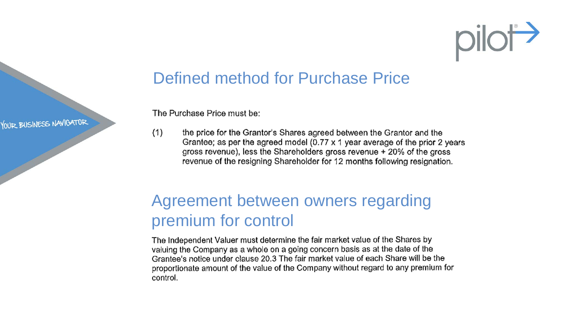# pilot

YOUR BUSINESS NAVIGATOR

#### Defined method for Purchase Price

The Purchase Price must be:

 $(1)$ the price for the Grantor's Shares agreed between the Grantor and the Grantee; as per the agreed model (0.77 x 1 year average of the prior 2 years gross revenue), less the Shareholders gross revenue + 20% of the gross revenue of the resigning Shareholder for 12 months following resignation.

#### Agreement between owners regarding premium for control

The Independent Valuer must determine the fair market value of the Shares by valuing the Company as a whole on a going concern basis as at the date of the Grantee's notice under clause 20.3 The fair market value of each Share will be the proportionate amount of the value of the Company without regard to any premium for control.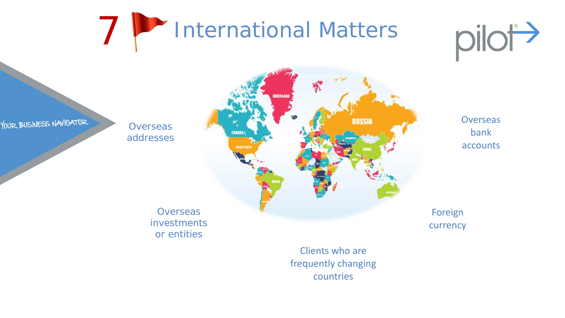



YOUR BUSINESS NAVIGATOR

**Overseas** addresses



**Overseas** bank accounts

Foreign currency

frequently changing countries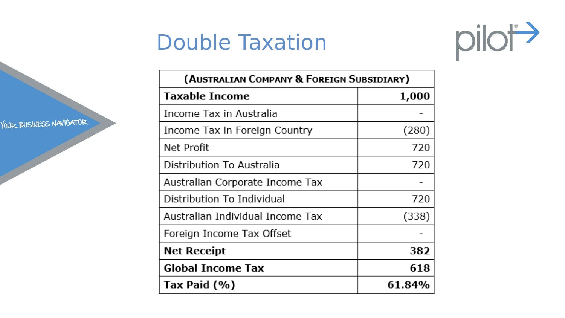# Double Taxation



YOUR BUSINESS NAVIGATOR

| (Australian Company & Foreign Subsidiary) |        |
|-------------------------------------------|--------|
| <b>Taxable Income</b>                     | 1,000  |
| Income Tax in Australia                   |        |
| Income Tax in Foreign Country             | (280)  |
| Net Profit                                | 720    |
| Distribution To Australia                 | 720    |
| Australian Corporate Income Tax           |        |
| Distribution To Individual                | 720    |
| Australian Individual Income Tax          | (338)  |
| Foreign Income Tax Offset                 |        |
| <b>Net Receipt</b>                        | 382    |
| <b>Global Income Tax</b>                  | 618    |
| Tax Paid (%)                              | 61.84% |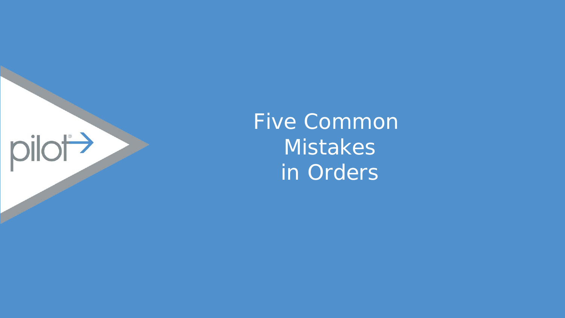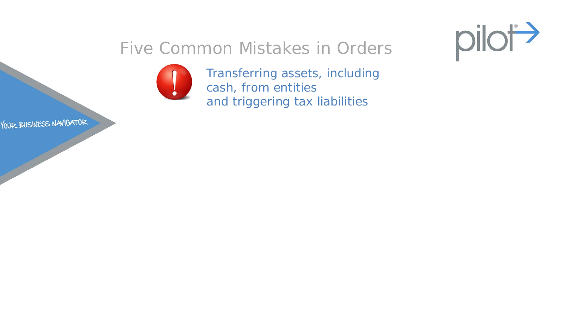



Transferring assets, including cash, from entities and triggering tax liabilities

YOUR BUSINESS NAVIGATOR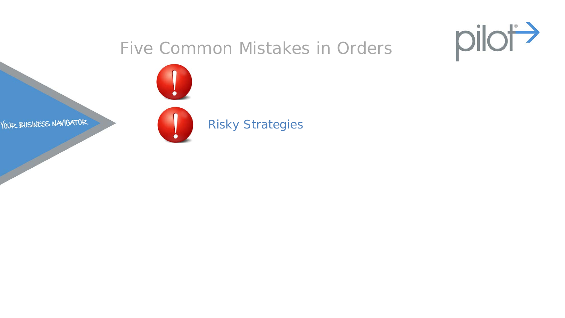



#### Risky Strategies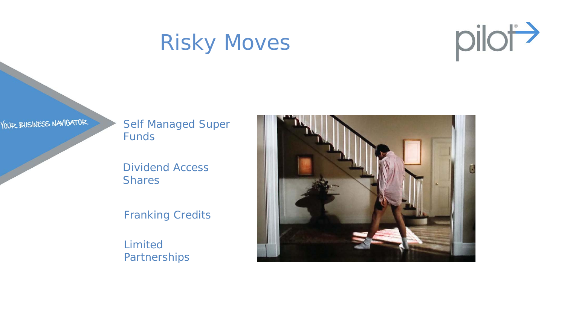# Risky Moves



YOUR BUSINESS NAVIGATOR

Self Managed Super Funds

Dividend Access **Shares** 

Franking Credits

Limited **Partnerships** 

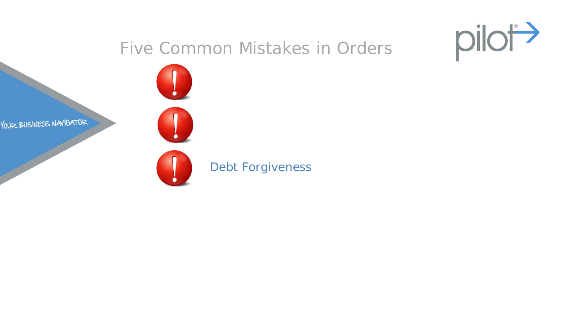

YOUR BUSINESS NAVIGATOR

Debt Forgiveness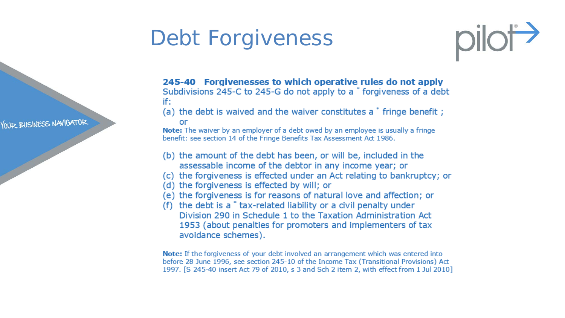# Debt Forgiveness



YOUR BUSINESS NAVIGATOR

245-40 Forgivenesses to which operative rules do not apply Subdivisions 245-C to 245-G do not apply to a  $\degree$  forgiveness of a debt if:

(a) the debt is waived and the waiver constitutes a \* fringe benefit ; or

**Note:** The waiver by an employer of a debt owed by an employee is usually a fringe benefit: see section 14 of the Fringe Benefits Tax Assessment Act 1986.

- (b) the amount of the debt has been, or will be, included in the assessable income of the debtor in any income year; or
- (c) the forgiveness is effected under an Act relating to bankruptcy; or
- (d) the forgiveness is effected by will; or
- (e) the forgiveness is for reasons of natural love and affection; or
- (f) the debt is a \* tax-related liability or a civil penalty under Division 290 in Schedule 1 to the Taxation Administration Act 1953 (about penalties for promoters and implementers of tax avoidance schemes).

**Note:** If the forgiveness of your debt involved an arrangement which was entered into before 28 June 1996, see section 245-10 of the Income Tax (Transitional Provisions) Act 1997. [S 245-40 insert Act 79 of 2010, s 3 and Sch 2 item 2, with effect from 1 Jul 2010]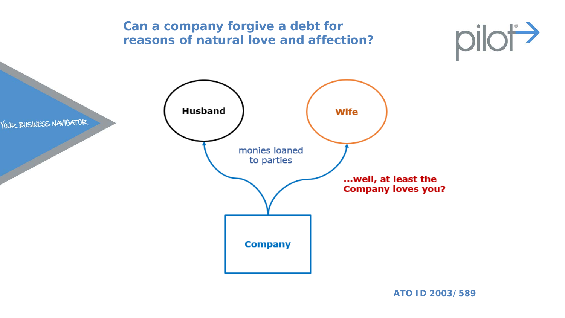

**ATO ID 2003/589**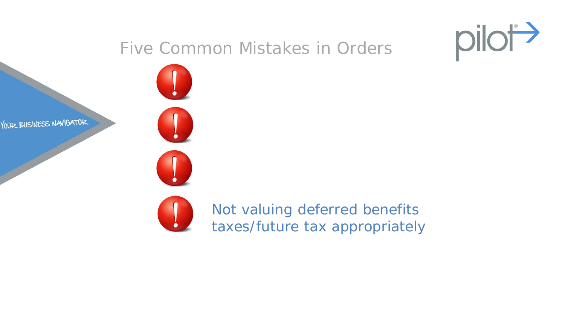

YOUR BUSINESS NAVIGATOR



Not valuing deferred benefits taxes/future tax appropriately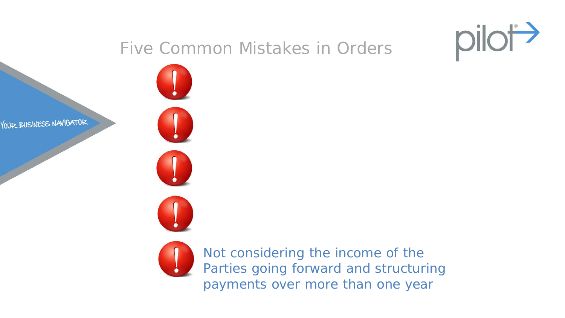

YOUR BUSINESS NAVIGATOR





Not considering the income of the Parties going forward and structuring payments over more than one year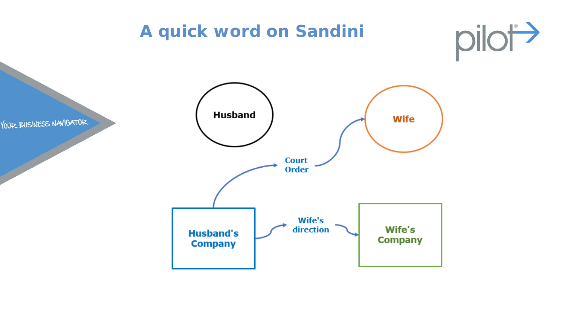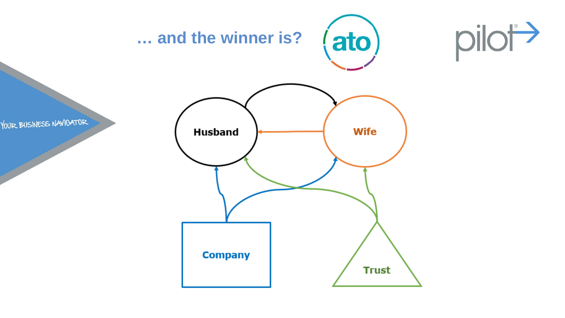





YOUR BUSINESS NAVIGATOR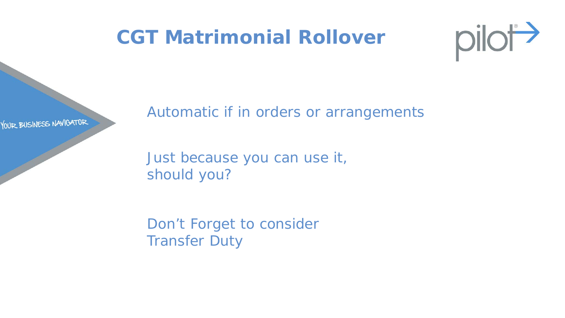#### **CGT Matrimonial Rollover**



YOUR BUSINESS NAVIGATOR

Automatic if in orders or arrangements

Just because you can use it, should you?

Don't Forget to consider Transfer Duty